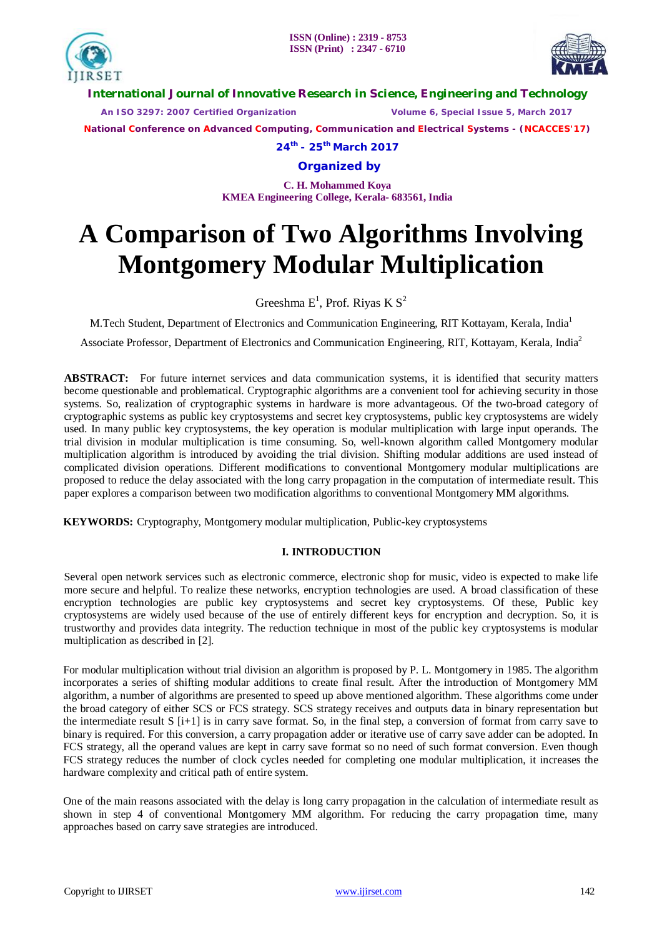



**International Journal of Innovative Research in Science, Engineering and Technology**

 *An ISO 3297: 2007 Certified Organization Volume 6, Special Issue 5, March 2017*

**National Conference on Advanced Computing, Communication and Electrical Systems - (NCACCES'17)**

**24th - 25th March 2017**

**Organized by**

**C. H. Mohammed Koya KMEA Engineering College, Kerala- 683561, India** 

# **A Comparison of Two Algorithms Involving Montgomery Modular Multiplication**

Greeshma  $E^1$ , Prof. Riyas K  $S^2$ 

M.Tech Student, Department of Electronics and Communication Engineering, RIT Kottayam, Kerala, India<sup>1</sup>

Associate Professor, Department of Electronics and Communication Engineering, RIT, Kottayam, Kerala, India<sup>2</sup>

**ABSTRACT:** For future internet services and data communication systems, it is identified that security matters become questionable and problematical. Cryptographic algorithms are a convenient tool for achieving security in those systems. So, realization of cryptographic systems in hardware is more advantageous. Of the two-broad category of cryptographic systems as public key cryptosystems and secret key cryptosystems, public key cryptosystems are widely used. In many public key cryptosystems, the key operation is modular multiplication with large input operands. The trial division in modular multiplication is time consuming. So, well-known algorithm called Montgomery modular multiplication algorithm is introduced by avoiding the trial division. Shifting modular additions are used instead of complicated division operations. Different modifications to conventional Montgomery modular multiplications are proposed to reduce the delay associated with the long carry propagation in the computation of intermediate result. This paper explores a comparison between two modification algorithms to conventional Montgomery MM algorithms.

**KEYWORDS:** Cryptography, Montgomery modular multiplication, Public-key cryptosystems

### **I. INTRODUCTION**

Several open network services such as electronic commerce, electronic shop for music, video is expected to make life more secure and helpful. To realize these networks, encryption technologies are used. A broad classification of these encryption technologies are public key cryptosystems and secret key cryptosystems. Of these, Public key cryptosystems are widely used because of the use of entirely different keys for encryption and decryption. So, it is trustworthy and provides data integrity. The reduction technique in most of the public key cryptosystems is modular multiplication as described in [2].

For modular multiplication without trial division an algorithm is proposed by P. L. Montgomery in 1985. The algorithm incorporates a series of shifting modular additions to create final result. After the introduction of Montgomery MM algorithm, a number of algorithms are presented to speed up above mentioned algorithm. These algorithms come under the broad category of either SCS or FCS strategy. SCS strategy receives and outputs data in binary representation but the intermediate result S [i+1] is in carry save format. So, in the final step, a conversion of format from carry save to binary is required. For this conversion, a carry propagation adder or iterative use of carry save adder can be adopted. In FCS strategy, all the operand values are kept in carry save format so no need of such format conversion. Even though FCS strategy reduces the number of clock cycles needed for completing one modular multiplication, it increases the hardware complexity and critical path of entire system.

One of the main reasons associated with the delay is long carry propagation in the calculation of intermediate result as shown in step 4 of conventional Montgomery MM algorithm. For reducing the carry propagation time, many approaches based on carry save strategies are introduced.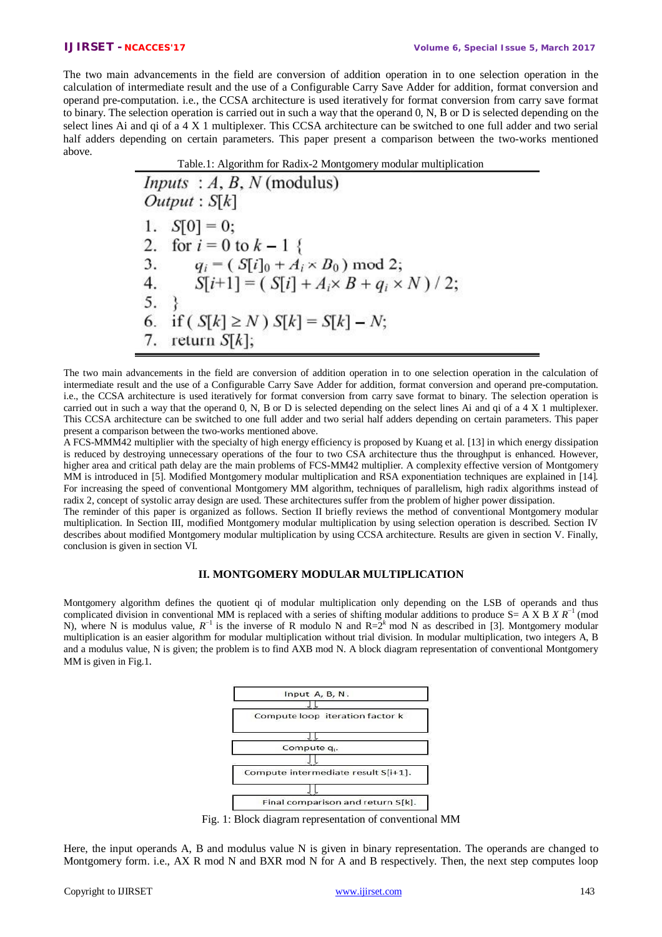The two main advancements in the field are conversion of addition operation in to one selection operation in the calculation of intermediate result and the use of a Configurable Carry Save Adder for addition, format conversion and operand pre-computation. i.e., the CCSA architecture is used iteratively for format conversion from carry save format to binary. The selection operation is carried out in such a way that the operand 0, N, B or D is selected depending on the select lines Ai and qi of a 4 X 1 multiplexer. This CCSA architecture can be switched to one full adder and two serial half adders depending on certain parameters. This paper present a comparison between the two-works mentioned above.

Table.1: Algorithm for Radix-2 Montgomery modular multiplication

The two main advancements in the field are conversion of addition operation in to one selection operation in the calculation of intermediate result and the use of a Configurable Carry Save Adder for addition, format conversion and operand pre-computation. i.e., the CCSA architecture is used iteratively for format conversion from carry save format to binary. The selection operation is carried out in such a way that the operand 0, N, B or D is selected depending on the select lines Ai and qi of a 4 X 1 multiplexer. This CCSA architecture can be switched to one full adder and two serial half adders depending on certain parameters. This paper present a comparison between the two-works mentioned above.

A FCS-MMM42 multiplier with the specialty of high energy efficiency is proposed by Kuang et al. [13] in which energy dissipation is reduced by destroying unnecessary operations of the four to two CSA architecture thus the throughput is enhanced. However, higher area and critical path delay are the main problems of FCS-MM42 multiplier. A complexity effective version of Montgomery MM is introduced in [5]. Modified Montgomery modular multiplication and RSA exponentiation techniques are explained in [14]. For increasing the speed of conventional Montgomery MM algorithm, techniques of parallelism, high radix algorithms instead of radix 2, concept of systolic array design are used. These architectures suffer from the problem of higher power dissipation.

The reminder of this paper is organized as follows. Section II briefly reviews the method of conventional Montgomery modular multiplication. In Section III, modified Montgomery modular multiplication by using selection operation is described. Section IV describes about modified Montgomery modular multiplication by using CCSA architecture. Results are given in section V. Finally, conclusion is given in section VI.

#### **II. MONTGOMERY MODULAR MULTIPLICATION**

Montgomery algorithm defines the quotient qi of modular multiplication only depending on the LSB of operands and thus complicated division in conventional MM is replaced with a series of shifting modular additions to produce S= A X B *X R*<sup>−</sup><sup>1</sup>(mod N), where N is modulus value,  $R^{-1}$  is the inverse of R modulo N and R= $2^k$  mod N as described in [3]. Montgomery modular multiplication is an easier algorithm for modular multiplication without trial division. In modular multiplication, two integers A, B and a modulus value, N is given; the problem is to find AXB mod N. A block diagram representation of conventional Montgomery MM is given in Fig.1.



Fig. 1: Block diagram representation of conventional MM

Here, the input operands A, B and modulus value N is given in binary representation. The operands are changed to Montgomery form. i.e., AX R mod N and BXR mod N for A and B respectively. Then, the next step computes loop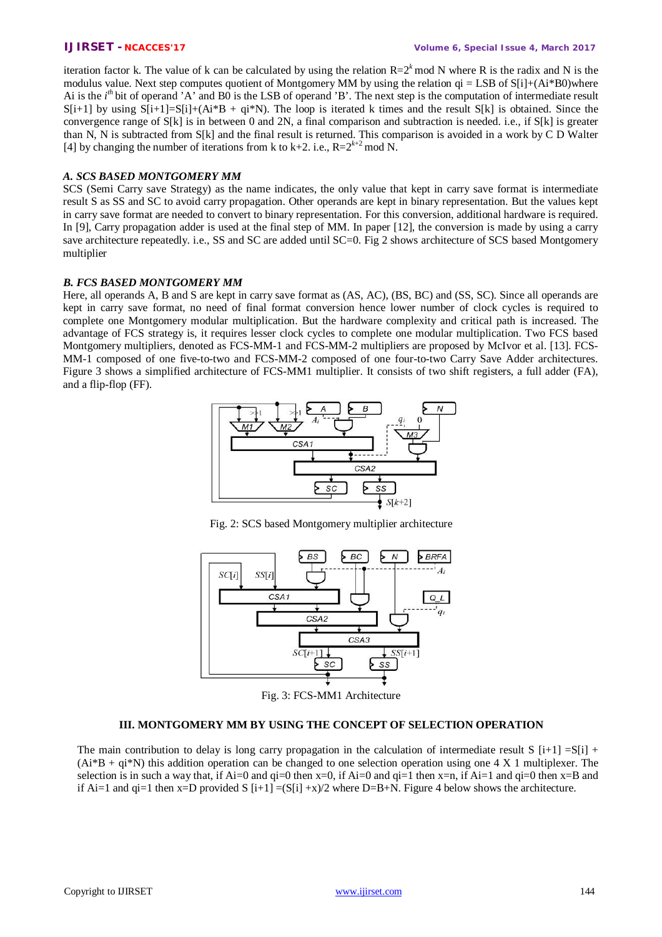iteration factor k. The value of k can be calculated by using the relation  $R=2<sup>k</sup>$  mod N where R is the radix and N is the modulus value. Next step computes quotient of Montgomery MM by using the relation  $qi = LSB$  of  $S[i] + (Ai * B0)$ where Ai is the *i*<sup>th</sup> bit of operand 'A' and B0 is the LSB of operand 'B'. The next step is the computation of intermediate result  $S[i+1]$  by using  $S[i+1]=S[i]+(Ai*B + qi*N)$ . The loop is iterated k times and the result  $S[k]$  is obtained. Since the convergence range of S[k] is in between 0 and 2N, a final comparison and subtraction is needed. i.e., if S[k] is greater than N, N is subtracted from S[k] and the final result is returned. This comparison is avoided in a work by C D Walter [4] by changing the number of iterations from k to k+2. i.e.,  $R=2^{k+2}$  mod N.

## *A. SCS BASED MONTGOMERY MM*

SCS (Semi Carry save Strategy) as the name indicates, the only value that kept in carry save format is intermediate result S as SS and SC to avoid carry propagation. Other operands are kept in binary representation. But the values kept in carry save format are needed to convert to binary representation. For this conversion, additional hardware is required. In [9], Carry propagation adder is used at the final step of MM. In paper [12], the conversion is made by using a carry save architecture repeatedly, i.e., SS and SC are added until SC=0. Fig 2 shows architecture of SCS based Montgomery multiplier

#### *B. FCS BASED MONTGOMERY MM*

Here, all operands A, B and S are kept in carry save format as (AS, AC), (BS, BC) and (SS, SC). Since all operands are kept in carry save format, no need of final format conversion hence lower number of clock cycles is required to complete one Montgomery modular multiplication. But the hardware complexity and critical path is increased. The advantage of FCS strategy is, it requires lesser clock cycles to complete one modular multiplication. Two FCS based Montgomery multipliers, denoted as FCS-MM-1 and FCS-MM-2 multipliers are proposed by McIvor et al. [13]. FCS-MM-1 composed of one five-to-two and FCS-MM-2 composed of one four-to-two Carry Save Adder architectures. Figure 3 shows a simplified architecture of FCS-MM1 multiplier. It consists of two shift registers, a full adder (FA), and a flip-flop (FF).







Fig. 3: FCS-MM1 Architecture

#### **III. MONTGOMERY MM BY USING THE CONCEPT OF SELECTION OPERATION**

The main contribution to delay is long carry propagation in the calculation of intermediate result S  $[i+1] = S[i] + I$  $(Ai*B + qi*N)$  this addition operation can be changed to one selection operation using one 4 X 1 multiplexer. The selection is in such a way that, if Ai=0 and  $qi=0$  then  $x=0$ , if Ai=0 and  $qi=1$  then  $x=n$ , if Ai=1 and  $qi=0$  then  $x=B$  and if Ai=1 and qi=1 then x=D provided S  $[i+1] = (S[i] + x)/2$  where D=B+N. Figure 4 below shows the architecture.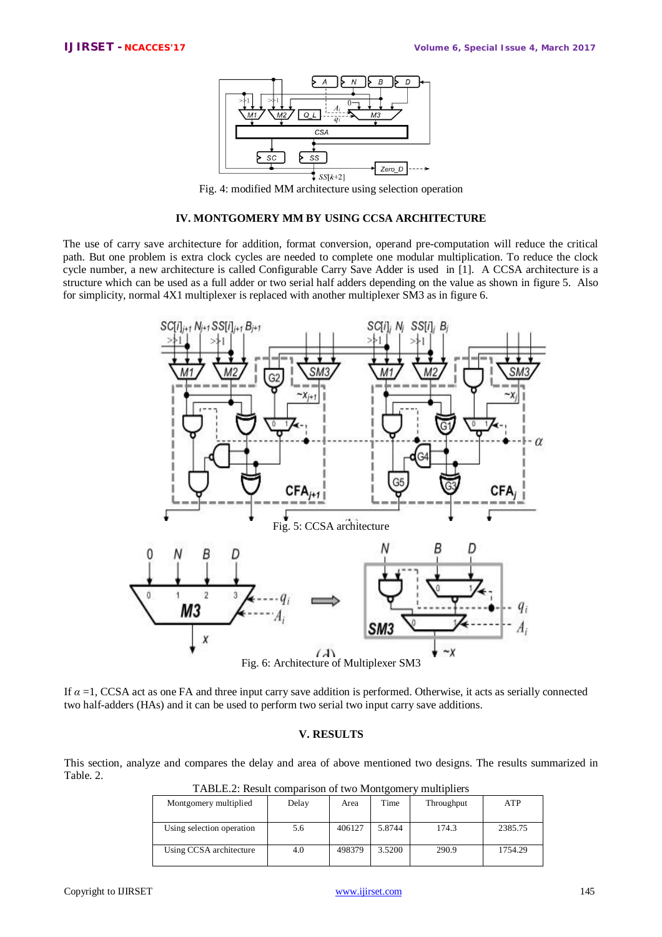

Fig. 4: modified MM architecture using selection operation

#### **IV. MONTGOMERY MM BY USING CCSA ARCHITECTURE**

The use of carry save architecture for addition, format conversion, operand pre-computation will reduce the critical path. But one problem is extra clock cycles are needed to complete one modular multiplication. To reduce the clock cycle number, a new architecture is called Configurable Carry Save Adder is used in [1]. A CCSA architecture is a structure which can be used as a full adder or two serial half adders depending on the value as shown in figure 5. Also for simplicity, normal 4X1 multiplexer is replaced with another multiplexer SM3 as in figure 6.



If  $\alpha = 1$ , CCSA act as one FA and three input carry save addition is performed. Otherwise, it acts as serially connected two half-adders (HAs) and it can be used to perform two serial two input carry save additions.

#### **V. RESULTS**

This section, analyze and compares the delay and area of above mentioned two designs. The results summarized in Table. 2.

| Montgomery multiplied     | Delay | Area   | Time   | Throughput | ATP     |
|---------------------------|-------|--------|--------|------------|---------|
| Using selection operation | 5.6   | 406127 | 5.8744 | 174.3      | 2385.75 |
| Using CCSA architecture   | 4.0   | 498379 | 3.5200 | 290.9      | 1754.29 |

TABLE.2: Result comparison of two Montgomery multipliers